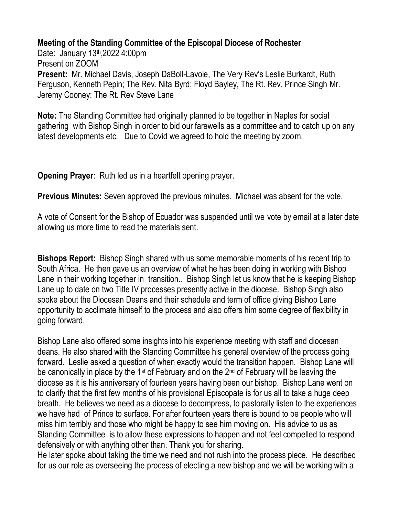**Meeting of the Standing Committee of the Episcopal Diocese of Rochester**

Date: January 13<sup>th</sup>, 2022 4:00pm Present on ZOOM **Present:** Mr. Michael Davis, Joseph DaBoll-Lavoie, The Very Rev's Leslie Burkardt, Ruth Ferguson, Kenneth Pepin; The Rev. Nita Byrd; Floyd Bayley, The Rt. Rev. Prince Singh Mr. Jeremy Cooney; The Rt. Rev Steve Lane

**Note:** The Standing Committee had originally planned to be together in Naples for social gathering with Bishop Singh in order to bid our farewells as a committee and to catch up on any latest developments etc. Due to Covid we agreed to hold the meeting by zoom.

**Opening Prayer**: Ruth led us in a heartfelt opening prayer.

**Previous Minutes:** Seven approved the previous minutes. Michael was absent for the vote.

A vote of Consent for the Bishop of Ecuador was suspended until we vote by email at a later date allowing us more time to read the materials sent.

**Bishops Report:** Bishop Singh shared with us some memorable moments of his recent trip to South Africa. He then gave us an overview of what he has been doing in working with Bishop Lane in their working together in transition.. Bishop Singh let us know that he is keeping Bishop Lane up to date on two Title IV processes presently active in the diocese. Bishop Singh also spoke about the Diocesan Deans and their schedule and term of office giving Bishop Lane opportunity to acclimate himself to the process and also offers him some degree of flexibility in going forward.

Bishop Lane also offered some insights into his experience meeting with staff and diocesan deans. He also shared with the Standing Committee his general overview of the process going forward. Leslie asked a question of when exactly would the transition happen. Bishop Lane will be canonically in place by the 1st of February and on the 2nd of February will be leaving the diocese as it is his anniversary of fourteen years having been our bishop. Bishop Lane went on to clarify that the first few months of his provisional Episcopate is for us all to take a huge deep breath. He believes we need as a diocese to decompress, to pastorally listen to the experiences we have had of Prince to surface. For after fourteen years there is bound to be people who will miss him terribly and those who might be happy to see him moving on. His advice to us as Standing Committee is to allow these expressions to happen and not feel compelled to respond defensively or with anything other than. Thank you for sharing.

He later spoke about taking the time we need and not rush into the process piece. He described for us our role as overseeing the process of electing a new bishop and we will be working with a